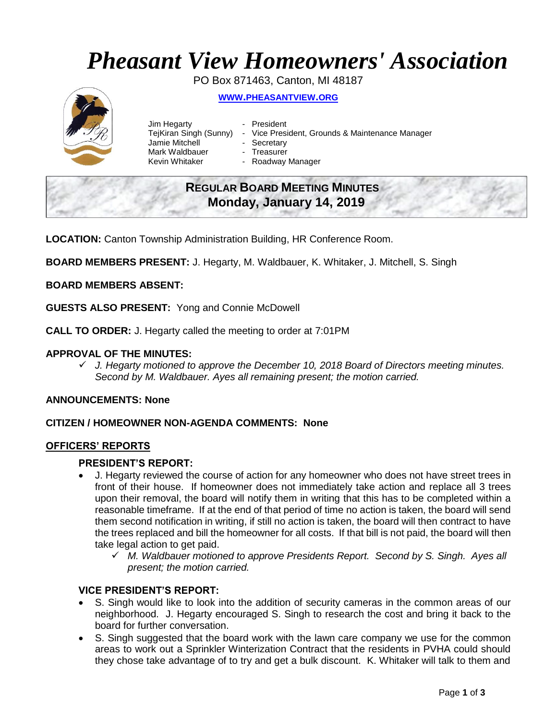# *Pheasant View Homeowners' Association*

PO Box 871463, Canton, MI 48187

## **WWW.[PHEASANTVIEW](http://www.pheasantview.org/).ORG**



| Jim Hegarty            | - President                                     |
|------------------------|-------------------------------------------------|
| TeiKiran Singh (Sunny) | - Vice President, Grounds & Maintenance Manager |
| Jamie Mitchell         | - Secretary                                     |
| Mark Waldbauer         | - Treasurer                                     |
| Kevin Whitaker         | - Roadway Manager                               |

## **REGULAR BOARD MEETING MINUTES Monday, January 14, 2019**

**LOCATION:** Canton Township Administration Building, HR Conference Room.

**BOARD MEMBERS PRESENT:** J. Hegarty, M. Waldbauer, K. Whitaker, J. Mitchell, S. Singh

#### **BOARD MEMBERS ABSENT:**

**GUESTS ALSO PRESENT:** Yong and Connie McDowell

**CALL TO ORDER:** J. Hegarty called the meeting to order at 7:01PM

#### **APPROVAL OF THE MINUTES:**

✓ *J. Hegarty motioned to approve the December 10, 2018 Board of Directors meeting minutes. Second by M. Waldbauer. Ayes all remaining present; the motion carried.*

#### **ANNOUNCEMENTS: None**

#### **CITIZEN / HOMEOWNER NON-AGENDA COMMENTS: None**

#### **OFFICERS' REPORTS**

#### **PRESIDENT'S REPORT:**

- J. Hegarty reviewed the course of action for any homeowner who does not have street trees in front of their house. If homeowner does not immediately take action and replace all 3 trees upon their removal, the board will notify them in writing that this has to be completed within a reasonable timeframe. If at the end of that period of time no action is taken, the board will send them second notification in writing, if still no action is taken, the board will then contract to have the trees replaced and bill the homeowner for all costs. If that bill is not paid, the board will then take legal action to get paid.
	- ✓ *M. Waldbauer motioned to approve Presidents Report. Second by S. Singh. Ayes all present; the motion carried.*

#### **VICE PRESIDENT'S REPORT:**

- S. Singh would like to look into the addition of security cameras in the common areas of our neighborhood. J. Hegarty encouraged S. Singh to research the cost and bring it back to the board for further conversation.
- S. Singh suggested that the board work with the lawn care company we use for the common areas to work out a Sprinkler Winterization Contract that the residents in PVHA could should they chose take advantage of to try and get a bulk discount. K. Whitaker will talk to them and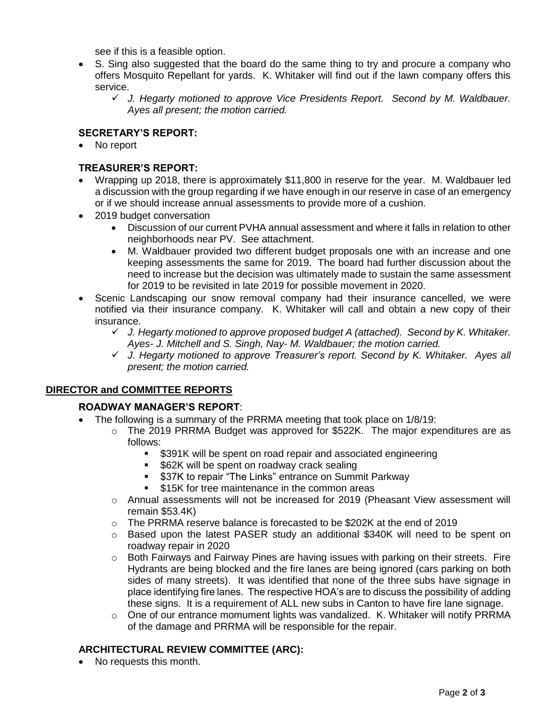see if this is a feasible option.

- S. Sing also suggested that the board do the same thing to try and procure a company who offers Mosquito Repellant for yards. K. Whitaker will find out if the lawn company offers this service.
	- ✓ *J. Hegarty motioned to approve Vice Presidents Report. Second by M. Waldbauer. Ayes all present; the motion carried.*

## **SECRETARY'S REPORT:**

• No report

## **TREASURER'S REPORT:**

- Wrapping up 2018, there is approximately \$11,800 in reserve for the year. M. Waldbauer led a discussion with the group regarding if we have enough in our reserve in case of an emergency or if we should increase annual assessments to provide more of a cushion.
- 2019 budget conversation
	- Discussion of our current PVHA annual assessment and where it falls in relation to other neighborhoods near PV. See attachment.
	- M. Waldbauer provided two different budget proposals one with an increase and one keeping assessments the same for 2019. The board had further discussion about the need to increase but the decision was ultimately made to sustain the same assessment for 2019 to be revisited in late 2019 for possible movement in 2020.
- Scenic Landscaping our snow removal company had their insurance cancelled, we were notified via their insurance company. K. Whitaker will call and obtain a new copy of their insurance.
	- ✓ *J. Hegarty motioned to approve proposed budget A (attached). Second by K. Whitaker. Ayes- J. Mitchell and S. Singh, Nay- M. Waldbauer; the motion carried.*
	- ✓ *J. Hegarty motioned to approve Treasurer's report. Second by K. Whitaker. Ayes all present; the motion carried.*

## **DIRECTOR and COMMITTEE REPORTS**

## **ROADWAY MANAGER'S REPORT**:

- The following is a summary of the PRRMA meeting that took place on 1/8/19:
	- $\circ$  The 2019 PRRMA Budget was approved for \$522K. The major expenditures are as follows:
		- \$391K will be spent on road repair and associated engineering
		- \$62K will be spent on roadway crack sealing
		- \$37K to repair "The Links" entrance on Summit Parkway
		- \$15K for tree maintenance in the common areas
	- o Annual assessments will not be increased for 2019 (Pheasant View assessment will remain \$53.4K)
	- $\circ$  The PRRMA reserve balance is forecasted to be \$202K at the end of 2019
	- $\circ$  Based upon the latest PASER study an additional \$340K will need to be spent on roadway repair in 2020
	- $\circ$  Both Fairways and Fairway Pines are having issues with parking on their streets. Fire Hydrants are being blocked and the fire lanes are being ignored (cars parking on both sides of many streets). It was identified that none of the three subs have signage in place identifying fire lanes. The respective HOA's are to discuss the possibility of adding these signs. It is a requirement of ALL new subs in Canton to have fire lane signage.
	- o One of our entrance momument lights was vandalized. K. Whitaker will notify PRRMA of the damage and PRRMA will be responsible for the repair.

## **ARCHITECTURAL REVIEW COMMITTEE (ARC):**

• No requests this month.